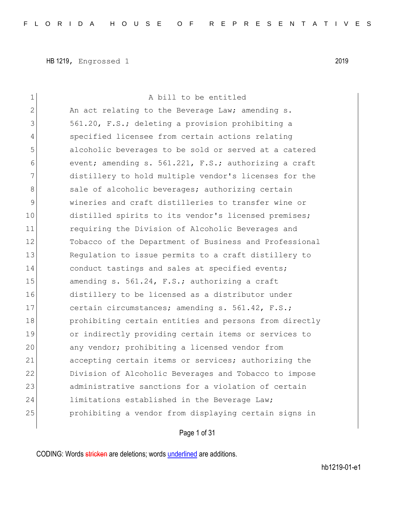| 1  | A bill to be entitled                                  |
|----|--------------------------------------------------------|
| 2  | An act relating to the Beverage Law; amending s.       |
| 3  | 561.20, F.S.; deleting a provision prohibiting a       |
| 4  | specified licensee from certain actions relating       |
| 5  | alcoholic beverages to be sold or served at a catered  |
| 6  | event; amending s. 561.221, F.S.; authorizing a craft  |
| 7  | distillery to hold multiple vendor's licenses for the  |
| 8  | sale of alcoholic beverages; authorizing certain       |
| 9  | wineries and craft distilleries to transfer wine or    |
| 10 | distilled spirits to its vendor's licensed premises;   |
| 11 | requiring the Division of Alcoholic Beverages and      |
| 12 | Tobacco of the Department of Business and Professional |
| 13 | Regulation to issue permits to a craft distillery to   |
| 14 | conduct tastings and sales at specified events;        |
| 15 | amending s. 561.24, F.S.; authorizing a craft          |
| 16 | distillery to be licensed as a distributor under       |
| 17 | certain circumstances; amending s. 561.42, F.S.;       |
| 18 | prohibiting certain entities and persons from directly |
| 19 | or indirectly providing certain items or services to   |
| 20 | any vendor; prohibiting a licensed vendor from         |
| 21 | accepting certain items or services; authorizing the   |
| 22 | Division of Alcoholic Beverages and Tobacco to impose  |
| 23 | administrative sanctions for a violation of certain    |
| 24 | limitations established in the Beverage Law;           |
| 25 | prohibiting a vendor from displaying certain signs in  |
|    |                                                        |

Page 1 of 31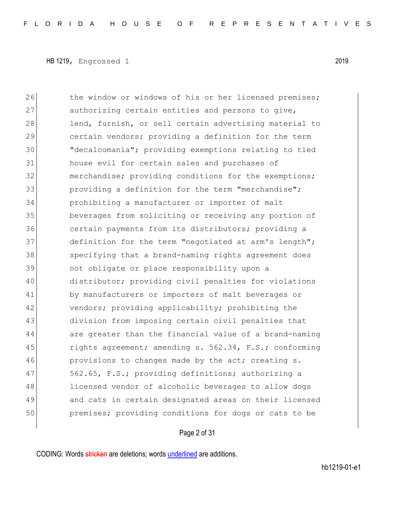26 the window or windows of his or her licensed premises; 27 authorizing certain entities and persons to give, 28 lend, furnish, or sell certain advertising material to 29 certain vendors; providing a definition for the term 30 "decalcomania"; providing exemptions relating to tied 31 house evil for certain sales and purchases of 32 merchandise; providing conditions for the exemptions; 33 31 providing a definition for the term "merchandise"; 34 prohibiting a manufacturer or importer of malt 35 beverages from soliciting or receiving any portion of 36 certain payments from its distributors; providing a 37 definition for the term "negotiated at arm's length"; 38 specifying that a brand-naming rights agreement does 39 not obligate or place responsibility upon a 40 distributor; providing civil penalties for violations 41 by manufacturers or importers of malt beverages or 42 vendors; providing applicability; prohibiting the 43 division from imposing certain civil penalties that 44 are greater than the financial value of a brand-naming 45 rights agreement; amending s. 562.34, F.S.; conforming 46 provisions to changes made by the act; creating s. 47 562.65, F.S.; providing definitions; authorizing a 48 licensed vendor of alcoholic beverages to allow dogs 49 and cats in certain designated areas on their licensed 50 premises; providing conditions for dogs or cats to be

Page 2 of 31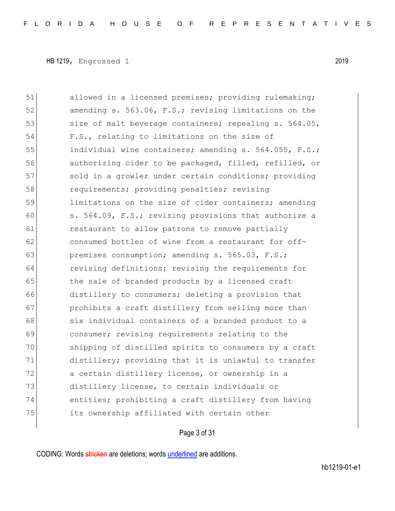51 allowed in a licensed premises; providing rulemaking; 52 amending s. 563.06, F.S.; revising limitations on the 53 size of malt beverage containers; repealing s. 564.05, 54 F.S., relating to limitations on the size of 55 individual wine containers; amending s. 564.055, F.S.; 56 authorizing cider to be packaged, filled, refilled, or 57 sold in a growler under certain conditions; providing 58 requirements; providing penalties; revising 59 limitations on the size of cider containers; amending 60 s. 564.09, F.S.; revising provisions that authorize a 61 **restaurant to allow patrons to remove partially** 62 consumed bottles of wine from a restaurant for off-63 **premises consumption; amending s. 565.03, F.S.;** 64 revising definitions; revising the requirements for 65 the sale of branded products by a licensed craft 66 distillery to consumers; deleting a provision that 67 prohibits a craft distillery from selling more than 68 six individual containers of a branded product to a 69 consumer; revising requirements relating to the 70 shipping of distilled spirits to consumers by a craft 71 distillery; providing that it is unlawful to transfer 72 a certain distillery license, or ownership in a 73 distillery license, to certain individuals or 74 entities; prohibiting a craft distillery from having 75 its ownership affiliated with certain other

Page 3 of 31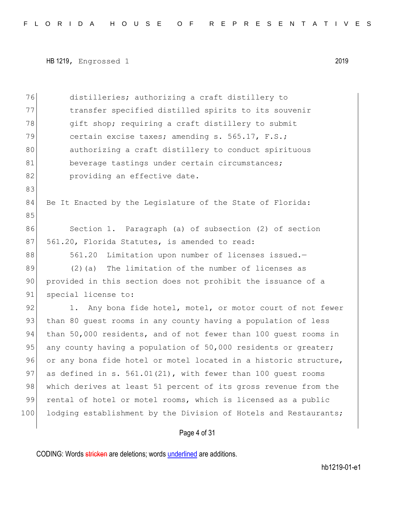```
HB 1219, Engrossed 1 2019
```
Page 4 of 31 76 distilleries; authorizing a craft distillery to 77 transfer specified distilled spirits to its souvenir 78 qift shop; requiring a craft distillery to submit 79 certain excise taxes; amending s. 565.17, F.S.; 80 authorizing a craft distillery to conduct spirituous 81 beverage tastings under certain circumstances; 82 **providing an effective date.** 83 84 Be It Enacted by the Legislature of the State of Florida: 85 86 Section 1. Paragraph (a) of subsection (2) of section 87 561.20, Florida Statutes, is amended to read: 88 561.20 Limitation upon number of licenses issued.-89 (2)(a) The limitation of the number of licenses as 90 provided in this section does not prohibit the issuance of a 91 special license to: 92 1. Any bona fide hotel, motel, or motor court of not fewer 93 than 80 quest rooms in any county having a population of less 94 than 50,000 residents, and of not fewer than 100 guest rooms in 95 any county having a population of  $50,000$  residents or greater; 96 or any bona fide hotel or motel located in a historic structure, 97 as defined in s.  $561.01(21)$ , with fewer than 100 quest rooms 98 which derives at least 51 percent of its gross revenue from the 99 rental of hotel or motel rooms, which is licensed as a public 100 lodging establishment by the Division of Hotels and Restaurants;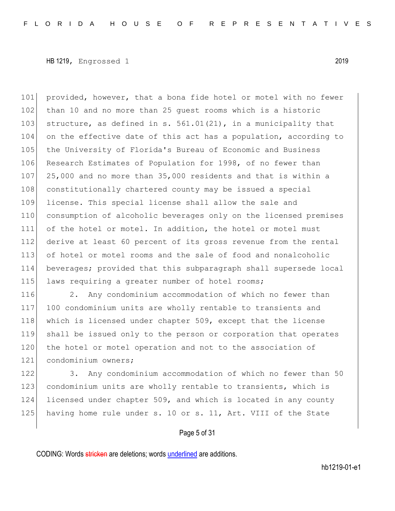101 provided, however, that a bona fide hotel or motel with no fewer 102 than 10 and no more than 25 quest rooms which is a historic 103 structure, as defined in s.  $561.01(21)$ , in a municipality that 104 on the effective date of this act has a population, according to 105 the University of Florida's Bureau of Economic and Business 106 Research Estimates of Population for 1998, of no fewer than 107 25,000 and no more than 35,000 residents and that is within a 108 constitutionally chartered county may be issued a special 109 license. This special license shall allow the sale and 110 consumption of alcoholic beverages only on the licensed premises 111 of the hotel or motel. In addition, the hotel or motel must 112 derive at least 60 percent of its gross revenue from the rental 113 of hotel or motel rooms and the sale of food and nonalcoholic 114 beverages; provided that this subparagraph shall supersede local 115 laws requiring a greater number of hotel rooms;

116 2. Any condominium accommodation of which no fewer than 117 100 condominium units are wholly rentable to transients and 118 which is licensed under chapter 509, except that the license 119 shall be issued only to the person or corporation that operates 120 the hotel or motel operation and not to the association of 121 condominium owners;

122 3. Any condominium accommodation of which no fewer than 50 123 condominium units are wholly rentable to transients, which is 124 licensed under chapter 509, and which is located in any county 125 having home rule under s. 10 or s. 11, Art. VIII of the State

#### Page 5 of 31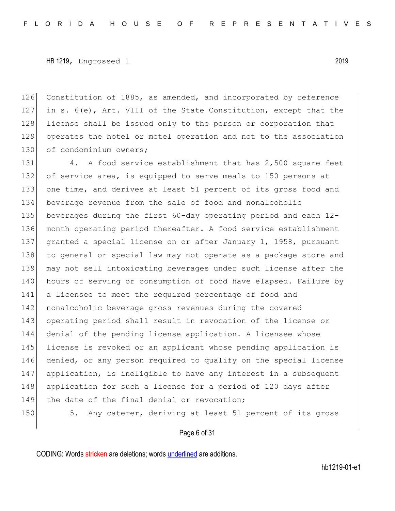126 Constitution of 1885, as amended, and incorporated by reference 127 in s. 6(e), Art. VIII of the State Constitution, except that the 128 license shall be issued only to the person or corporation that 129 operates the hotel or motel operation and not to the association 130 of condominium owners;

131 4. A food service establishment that has 2,500 square feet 132 of service area, is equipped to serve meals to 150 persons at 133 one time, and derives at least 51 percent of its gross food and 134 beverage revenue from the sale of food and nonalcoholic 135 beverages during the first 60-day operating period and each 12- 136 month operating period thereafter. A food service establishment 137 granted a special license on or after January 1, 1958, pursuant 138 to general or special law may not operate as a package store and 139 may not sell intoxicating beverages under such license after the 140 hours of serving or consumption of food have elapsed. Failure by 141 a licensee to meet the required percentage of food and 142 nonalcoholic beverage gross revenues during the covered 143 operating period shall result in revocation of the license or 144 denial of the pending license application. A licensee whose 145 license is revoked or an applicant whose pending application is 146 denied, or any person required to qualify on the special license 147 application, is ineligible to have any interest in a subsequent 148 application for such a license for a period of 120 days after 149 the date of the final denial or revocation; 150 5. Any caterer, deriving at least 51 percent of its gross

#### Page 6 of 31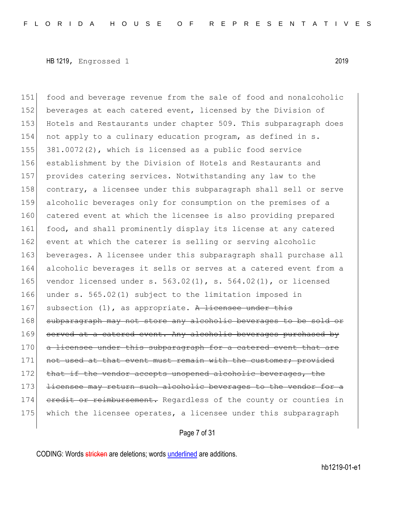151 food and beverage revenue from the sale of food and nonalcoholic 152 beverages at each catered event, licensed by the Division of 153 Hotels and Restaurants under chapter 509. This subparagraph does 154 not apply to a culinary education program, as defined in s. 155 381.0072(2), which is licensed as a public food service 156 establishment by the Division of Hotels and Restaurants and 157 provides catering services. Notwithstanding any law to the 158 contrary, a licensee under this subparagraph shall sell or serve 159 alcoholic beverages only for consumption on the premises of a 160 catered event at which the licensee is also providing prepared 161 food, and shall prominently display its license at any catered 162 event at which the caterer is selling or serving alcoholic 163 beverages. A licensee under this subparagraph shall purchase all 164 alcoholic beverages it sells or serves at a catered event from a 165 vendor licensed under s.  $563.02(1)$ , s.  $564.02(1)$ , or licensed 166 under s. 565.02(1) subject to the limitation imposed in 167 subsection  $(1)$ , as appropriate. A licensee under this 168 subparagraph may not store any alcoholic beverages to be sold or 169 served at a catered event. Any alcoholic beverages purchased by 170 a licensee under this subparagraph for a catered event that are 171 not used at that event must remain with the customer; provided 172 that if the vendor accepts unopened alcoholic beverages, the 173 <del>licensee may return such alcoholic beverages to the vendor for a</del> 174 credit or reimbursement. Regardless of the county or counties in 175 which the licensee operates, a licensee under this subparagraph

Page 7 of 31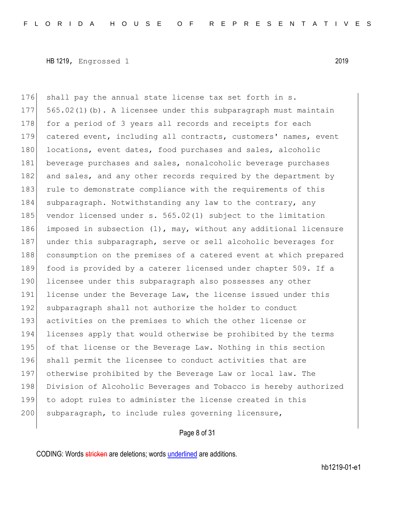176 shall pay the annual state license tax set forth in s. 177 565.02(1)(b). A licensee under this subparagraph must maintain 178 for a period of 3 years all records and receipts for each 179 catered event, including all contracts, customers' names, event 180 locations, event dates, food purchases and sales, alcoholic 181 beverage purchases and sales, nonalcoholic beverage purchases 182 and sales, and any other records required by the department by 183 rule to demonstrate compliance with the requirements of this 184 subparagraph. Notwithstanding any law to the contrary, any 185 vendor licensed under s. 565.02(1) subject to the limitation 186 imposed in subsection (1), may, without any additional licensure 187 under this subparagraph, serve or sell alcoholic beverages for 188 consumption on the premises of a catered event at which prepared 189 food is provided by a caterer licensed under chapter 509. If a 190 licensee under this subparagraph also possesses any other 191 license under the Beverage Law, the license issued under this 192 subparagraph shall not authorize the holder to conduct 193 activities on the premises to which the other license or 194 licenses apply that would otherwise be prohibited by the terms 195 of that license or the Beverage Law. Nothing in this section 196 shall permit the licensee to conduct activities that are 197 otherwise prohibited by the Beverage Law or local law. The 198 Division of Alcoholic Beverages and Tobacco is hereby authorized 199 to adopt rules to administer the license created in this 200 subparagraph, to include rules governing licensure,

#### Page 8 of 31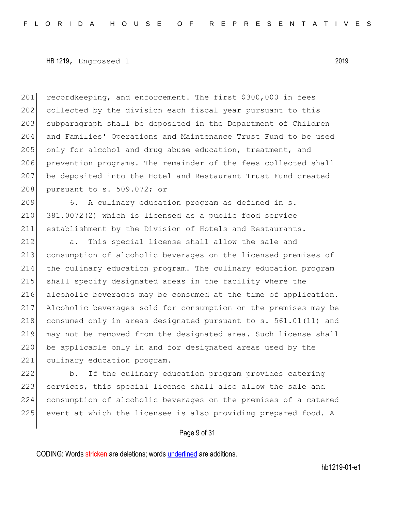201 recordkeeping, and enforcement. The first \$300,000 in fees 202 collected by the division each fiscal year pursuant to this 203 subparagraph shall be deposited in the Department of Children 204 and Families' Operations and Maintenance Trust Fund to be used 205 only for alcohol and drug abuse education, treatment, and 206 prevention programs. The remainder of the fees collected shall 207 be deposited into the Hotel and Restaurant Trust Fund created 208 pursuant to s. 509.072; or

209 6. A culinary education program as defined in s.  $210$  381.0072(2) which is licensed as a public food service 211 establishment by the Division of Hotels and Restaurants.

 a. This special license shall allow the sale and consumption of alcoholic beverages on the licensed premises of the culinary education program. The culinary education program shall specify designated areas in the facility where the alcoholic beverages may be consumed at the time of application. Alcoholic beverages sold for consumption on the premises may be 218 consumed only in areas designated pursuant to s. 561.01(11) and may not be removed from the designated area. Such license shall be applicable only in and for designated areas used by the 221 culinary education program.

222 b. If the culinary education program provides catering 223 services, this special license shall also allow the sale and 224 consumption of alcoholic beverages on the premises of a catered 225 event at which the licensee is also providing prepared food. A

#### Page 9 of 31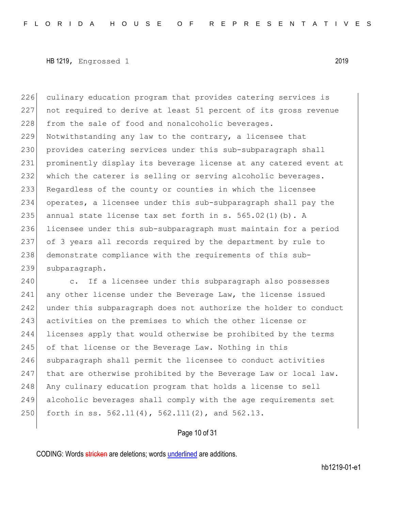culinary education program that provides catering services is not required to derive at least 51 percent of its gross revenue 228 from the sale of food and nonalcoholic beverages. Notwithstanding any law to the contrary, a licensee that 230 provides catering services under this sub-subparagraph shall prominently display its beverage license at any catered event at which the caterer is selling or serving alcoholic beverages. Regardless of the county or counties in which the licensee operates, a licensee under this sub-subparagraph shall pay the 235 annual state license tax set forth in s. 565.02(1)(b). A licensee under this sub-subparagraph must maintain for a period of 3 years all records required by the department by rule to 238 demonstrate compliance with the requirements of this sub-subparagraph.

240 c. If a licensee under this subparagraph also possesses 241 any other license under the Beverage Law, the license issued 242 under this subparagraph does not authorize the holder to conduct 243 activities on the premises to which the other license or 244 licenses apply that would otherwise be prohibited by the terms 245 of that license or the Beverage Law. Nothing in this 246 subparagraph shall permit the licensee to conduct activities 247 that are otherwise prohibited by the Beverage Law or local law. 248 Any culinary education program that holds a license to sell 249 alcoholic beverages shall comply with the age requirements set 250 forth in ss. 562.11(4), 562.111(2), and 562.13.

## Page 10 of 31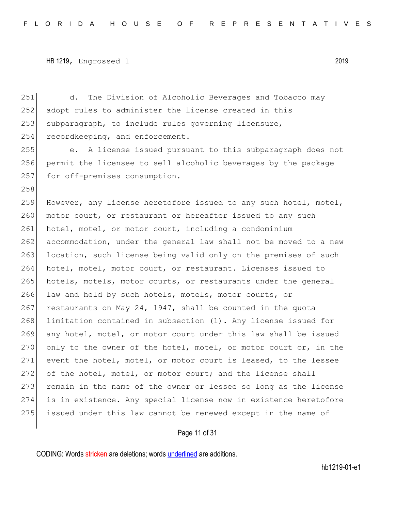251 d. The Division of Alcoholic Beverages and Tobacco may 252 adopt rules to administer the license created in this 253 subparagraph, to include rules governing licensure, 254 recordkeeping, and enforcement. 255 e. A license issued pursuant to this subparagraph does not 256 permit the licensee to sell alcoholic beverages by the package 257 for off-premises consumption. 258 259 However, any license heretofore issued to any such hotel, motel, 260 motor court, or restaurant or hereafter issued to any such 261 hotel, motel, or motor court, including a condominium 262 accommodation, under the general law shall not be moved to a new 263 location, such license being valid only on the premises of such 264 hotel, motel, motor court, or restaurant. Licenses issued to 265 hotels, motels, motor courts, or restaurants under the general 266 law and held by such hotels, motels, motor courts, or 267 restaurants on May 24, 1947, shall be counted in the quota 268 limitation contained in subsection (1). Any license issued for 269 any hotel, motel, or motor court under this law shall be issued 270 only to the owner of the hotel, motel, or motor court or, in the

271 event the hotel, motel, or motor court is leased, to the lessee 272 of the hotel, motel, or motor court; and the license shall 273 remain in the name of the owner or lessee so long as the license 274 is in existence. Any special license now in existence heretofore 275 issued under this law cannot be renewed except in the name of

#### Page 11 of 31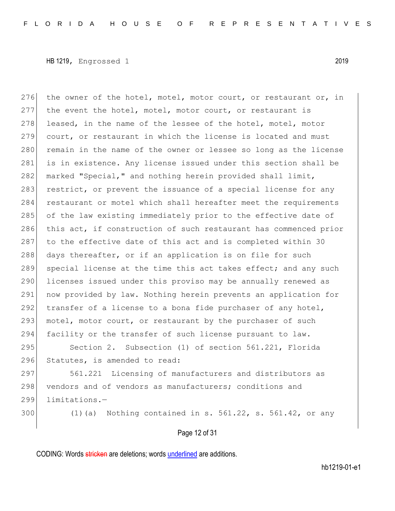276 the owner of the hotel, motel, motor court, or restaurant or, in 277 the event the hotel, motel, motor court, or restaurant is 278 leased, in the name of the lessee of the hotel, motel, motor 279 court, or restaurant in which the license is located and must 280 remain in the name of the owner or lessee so long as the license 281 is in existence. Any license issued under this section shall be 282 marked "Special," and nothing herein provided shall limit, 283 restrict, or prevent the issuance of a special license for any 284 restaurant or motel which shall hereafter meet the requirements 285 of the law existing immediately prior to the effective date of 286 this act, if construction of such restaurant has commenced prior 287 to the effective date of this act and is completed within 30 288 days thereafter, or if an application is on file for such 289 special license at the time this act takes effect; and any such 290 licenses issued under this proviso may be annually renewed as 291 now provided by law. Nothing herein prevents an application for 292  $\vert$  transfer of a license to a bona fide purchaser of any hotel, 293 motel, motor court, or restaurant by the purchaser of such 294 facility or the transfer of such license pursuant to law.

295 Section 2. Subsection (1) of section 561.221, Florida 296 Statutes, is amended to read:

297 561.221 Licensing of manufacturers and distributors as 298 vendors and of vendors as manufacturers; conditions and 299 limitations.—

300 (1)(a) Nothing contained in s. 561.22, s. 561.42, or any

## Page 12 of 31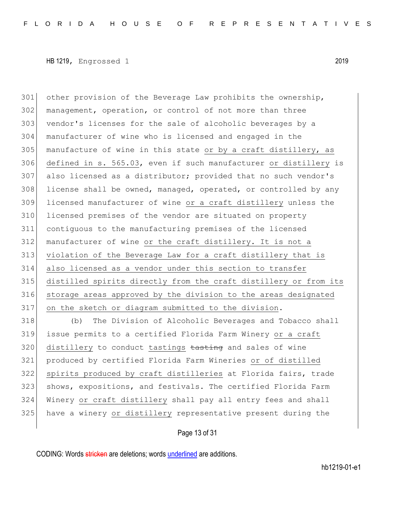other provision of the Beverage Law prohibits the ownership, 302 management, operation, or control of not more than three 303 vendor's licenses for the sale of alcoholic beverages by a manufacturer of wine who is licensed and engaged in the manufacture of wine in this state or by a craft distillery, as defined in s. 565.03, even if such manufacturer or distillery is also licensed as a distributor; provided that no such vendor's 308 license shall be owned, managed, operated, or controlled by any licensed manufacturer of wine or a craft distillery unless the licensed premises of the vendor are situated on property contiguous to the manufacturing premises of the licensed manufacturer of wine or the craft distillery. It is not a violation of the Beverage Law for a craft distillery that is also licensed as a vendor under this section to transfer distilled spirits directly from the craft distillery or from its storage areas approved by the division to the areas designated on the sketch or diagram submitted to the division. (b) The Division of Alcoholic Beverages and Tobacco shall

 issue permits to a certified Florida Farm Winery or a craft 320 distillery to conduct tastings tasting and sales of wine produced by certified Florida Farm Wineries or of distilled spirits produced by craft distilleries at Florida fairs, trade 323 shows, expositions, and festivals. The certified Florida Farm Winery or craft distillery shall pay all entry fees and shall have a winery or distillery representative present during the

Page 13 of 31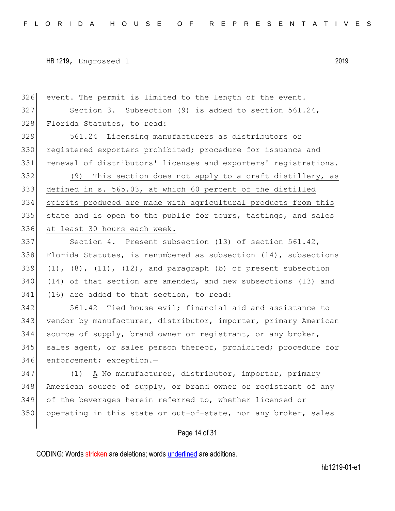326 event. The permit is limited to the length of the event. 327 Section 3. Subsection (9) is added to section 561.24, 328 Florida Statutes, to read: 329 561.24 Licensing manufacturers as distributors or 330 registered exporters prohibited; procedure for issuance and 331 renewal of distributors' licenses and exporters' registrations.-332 (9) This section does not apply to a craft distillery, as 333 defined in s. 565.03, at which 60 percent of the distilled 334 spirits produced are made with agricultural products from this  $335$  state and is open to the public for tours, tastings, and sales 336 at least 30 hours each week. 337 Section 4. Present subsection (13) of section 561.42, 338 Florida Statutes, is renumbered as subsection  $(14)$ , subsections 339  $(1)$ ,  $(8)$ ,  $(11)$ ,  $(12)$ , and paragraph (b) of present subsection 340 (14) of that section are amended, and new subsections (13) and 341 (16) are added to that section, to read: 342 561.42 Tied house evil; financial aid and assistance to 343 vendor by manufacturer, distributor, importer, primary American  $344$  source of supply, brand owner or registrant, or any broker, 345 sales agent, or sales person thereof, prohibited; procedure for 346 enforcement; exception.-347 (1) A No manufacturer, distributor, importer, primary 348 American source of supply, or brand owner or registrant of any 349 of the beverages herein referred to, whether licensed or 350 operating in this state or out-of-state, nor any broker, sales

Page 14 of 31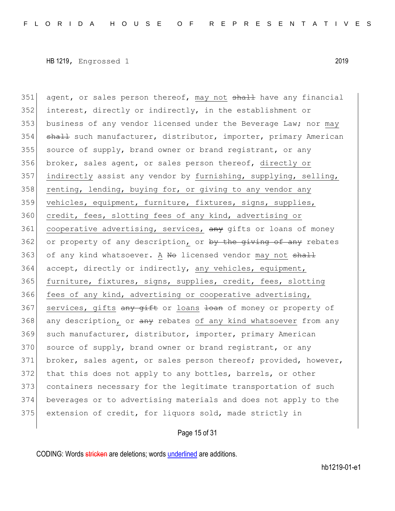351 agent, or sales person thereof, may not shall have any financial  $352$  interest, directly or indirectly, in the establishment or 353 business of any vendor licensed under the Beverage Law; nor may 354 shall such manufacturer, distributor, importer, primary American  $355$  source of supply, brand owner or brand registrant, or any 356 broker, sales agent, or sales person thereof, directly or 357 indirectly assist any vendor by furnishing, supplying, selling,  $358$  renting, lending, buying for, or giving to any vendor any 359 vehicles, equipment, furniture, fixtures, signs, supplies, 360 credit, fees, slotting fees of any kind, advertising or 361 cooperative advertising, services, any gifts or loans of money 362 or property of any description, or by the giving of any rebates 363 of any kind whatsoever. A No licensed vendor may not shall 364 accept, directly or indirectly, any vehicles, equipment, 365 furniture, fixtures, signs, supplies, credit, fees, slotting 366 fees of any kind, advertising or cooperative advertising, 367 services, gifts any gift or loans loan of money or property of 368 any description, or any rebates of any kind whatsoever from any 369 such manufacturer, distributor, importer, primary American 370 source of supply, brand owner or brand registrant, or any 371 broker, sales agent, or sales person thereof; provided, however, 372 that this does not apply to any bottles, barrels, or other 373 containers necessary for the legitimate transportation of such 374 beverages or to advertising materials and does not apply to the 375 extension of credit, for liquors sold, made strictly in

## Page 15 of 31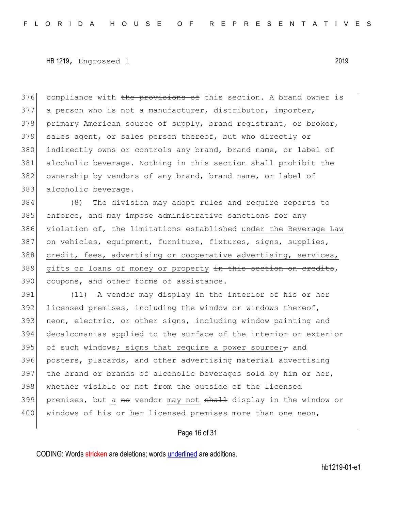376 compliance with the provisions of this section. A brand owner is 377 a person who is not a manufacturer, distributor, importer, 378 primary American source of supply, brand registrant, or broker, 379 sales agent, or sales person thereof, but who directly or 380 indirectly owns or controls any brand, brand name, or label of 381 alcoholic beverage. Nothing in this section shall prohibit the 382 ownership by vendors of any brand, brand name, or label of 383 alcoholic beverage.

384 (8) The division may adopt rules and require reports to 385 enforce, and may impose administrative sanctions for any 386 violation of, the limitations established under the Beverage Law 387 on vehicles, equipment, furniture, fixtures, signs, supplies, 388 credit, fees, advertising or cooperative advertising, services, 389 gifts or loans of money or property in this section on credits, 390 coupons, and other forms of assistance.

391 (11) A vendor may display in the interior of his or her 392 licensed premises, including the window or windows thereof, 393 neon, electric, or other signs, including window painting and 394 decalcomanias applied to the surface of the interior or exterior 395 of such windows; signs that require a power source; $\tau$  and 396 posters, placards, and other advertising material advertising 397 the brand or brands of alcoholic beverages sold by him or her, 398 whether visible or not from the outside of the licensed 399 premises, but a no vendor may not shall display in the window or 400 | windows of his or her licensed premises more than one neon,

#### Page 16 of 31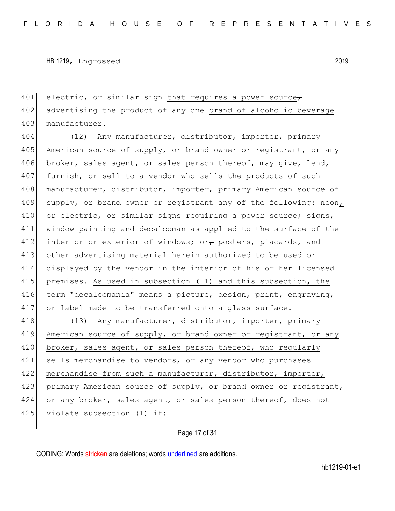401 electric, or similar sign that requires a power source, 402 advertising the product of any one brand of alcoholic beverage 403 manufacturer.

404 (12) Any manufacturer, distributor, importer, primary 405 American source of supply, or brand owner or registrant, or any 406 broker, sales agent, or sales person thereof, may give, lend, 407 furnish, or sell to a vendor who sells the products of such 408 manufacturer, distributor, importer, primary American source of 409 supply, or brand owner or registrant any of the following: neon, 410  $\sigma$  electric, or similar signs requiring a power source;  $\sigma$ 411 window painting and decalcomanias applied to the surface of the 412 interior or exterior of windows; or, posters, placards, and 413 other advertising material herein authorized to be used or 414 displayed by the vendor in the interior of his or her licensed 415 premises. As used in subsection (11) and this subsection, the 416 term "decalcomania" means a picture, design, print, engraving, 417 or label made to be transferred onto a glass surface. 418 (13) Any manufacturer, distributor, importer, primary

419 American source of supply, or brand owner or registrant, or any 420 broker, sales agent, or sales person thereof, who regularly 421 sells merchandise to vendors, or any vendor who purchases 422 merchandise from such a manufacturer, distributor, importer, 423 primary American source of supply, or brand owner or registrant, 424 or any broker, sales agent, or sales person thereof, does not 425 violate subsection (1) if:

Page 17 of 31

CODING: Words stricken are deletions; words underlined are additions.

hb1219-01-e1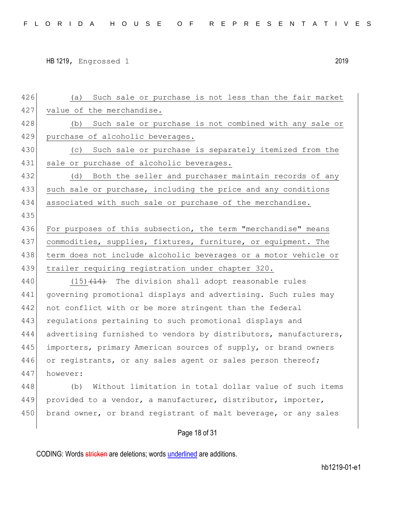| 426 | Such sale or purchase is not less than the fair market<br>(a)    |
|-----|------------------------------------------------------------------|
| 427 | value of the merchandise.                                        |
| 428 | Such sale or purchase is not combined with any sale or<br>(b)    |
| 429 | purchase of alcoholic beverages.                                 |
| 430 | Such sale or purchase is separately itemized from the<br>(C)     |
| 431 | sale or purchase of alcoholic beverages.                         |
| 432 | Both the seller and purchaser maintain records of any<br>(d)     |
| 433 | such sale or purchase, including the price and any conditions    |
| 434 | associated with such sale or purchase of the merchandise.        |
| 435 |                                                                  |
| 436 | For purposes of this subsection, the term "merchandise" means    |
| 437 | commodities, supplies, fixtures, furniture, or equipment. The    |
| 438 | term does not include alcoholic beverages or a motor vehicle or  |
| 439 | trailer requiring registration under chapter 320.                |
| 440 | $(15)$ $(14)$ The division shall adopt reasonable rules          |
| 441 | governing promotional displays and advertising. Such rules may   |
| 442 | not conflict with or be more stringent than the federal          |
| 443 | regulations pertaining to such promotional displays and          |
| 444 | advertising furnished to vendors by distributors, manufacturers, |
| 445 | importers, primary American sources of supply, or brand owners   |
| 446 | or registrants, or any sales agent or sales person thereof;      |
| 447 | however:                                                         |
| 448 | Without limitation in total dollar value of such items<br>(b)    |
| 449 | provided to a vendor, a manufacturer, distributor, importer,     |
| 450 | brand owner, or brand registrant of malt beverage, or any sales  |
|     | Page 18 of 31                                                    |
|     |                                                                  |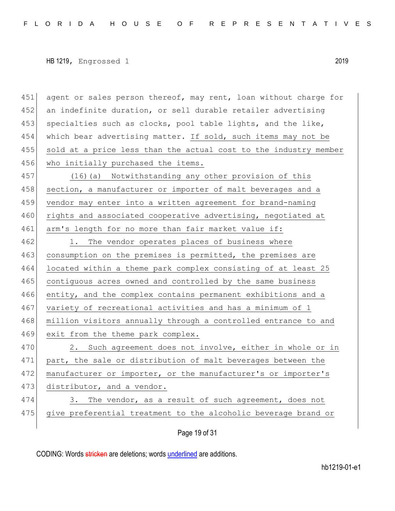451 agent or sales person thereof, may rent, loan without charge for 452 an indefinite duration, or sell durable retailer advertising 453 specialties such as clocks, pool table lights, and the like, 454 which bear advertising matter. If sold, such items may not be 455 sold at a price less than the actual cost to the industry member 456 who initially purchased the items. 457 (16)(a) Notwithstanding any other provision of this 458 section, a manufacturer or importer of malt beverages and a 459 vendor may enter into a written agreement for brand-naming 460 rights and associated cooperative advertising, negotiated at 461 arm's length for no more than fair market value if: 462 1. The vendor operates places of business where 463 consumption on the premises is permitted, the premises are 464 located within a theme park complex consisting of at least 25 465 contiguous acres owned and controlled by the same business 466 entity, and the complex contains permanent exhibitions and a 467 variety of recreational activities and has a minimum of 1 468 million visitors annually through a controlled entrance to and 469 exit from the theme park complex. 470 2. Such agreement does not involve, either in whole or in 471 part, the sale or distribution of malt beverages between the 472 manufacturer or importer, or the manufacturer's or importer's 473 distributor, and a vendor. 474 3. The vendor, as a result of such agreement, does not 475 give preferential treatment to the alcoholic beverage brand or

Page 19 of 31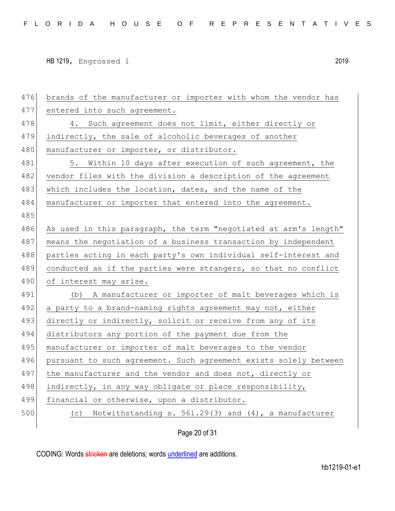| 476 | brands of the manufacturer or importer with whom the vendor has  |
|-----|------------------------------------------------------------------|
| 477 | entered into such agreement.                                     |
| 478 | 4. Such agreement does not limit, either directly or             |
| 479 | indirectly, the sale of alcoholic beverages of another           |
| 480 | manufacturer or importer, or distributor.                        |
| 481 | 5. Within 10 days after execution of such agreement, the         |
| 482 | vendor files with the division a description of the agreement    |
| 483 | which includes the location, dates, and the name of the          |
| 484 | manufacturer or importer that entered into the agreement.        |
| 485 |                                                                  |
| 486 | As used in this paragraph, the term "negotiated at arm's length" |
| 487 | means the negotiation of a business transaction by independent   |
| 488 | parties acting in each party's own individual self-interest and  |
| 489 | conducted as if the parties were strangers, so that no conflict  |
| 490 | of interest may arise.                                           |
| 491 | (b) A manufacturer or importer of malt beverages which is        |
| 492 | a party to a brand-naming rights agreement may not, either       |
| 493 | directly or indirectly, solicit or receive from any of its       |
| 494 | distributors any portion of the payment due from the             |
| 495 | manufacturer or importer of malt beverages to the vendor         |
| 496 | pursuant to such agreement. Such agreement exists solely between |
| 497 | the manufacturer and the vendor and does not, directly or        |
| 498 | indirectly, in any way obligate or place responsibility,         |
| 499 | financial or otherwise, upon a distributor.                      |
| 500 | Notwithstanding s. 561.29(3) and (4), a manufacturer<br>(C)      |
|     |                                                                  |

Page 20 of 31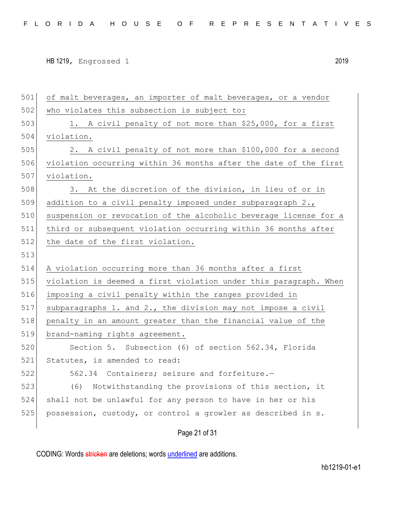501 of malt beverages, an importer of malt beverages, or a vendor 502 who violates this subsection is subject to: 503 1. A civil penalty of not more than \$25,000, for a first 504 violation. 505 2. A civil penalty of not more than \$100,000 for a second 506 violation occurring within 36 months after the date of the first 507 violation. 508 3. At the discretion of the division, in lieu of or in 509 addition to a civil penalty imposed under subparagraph 2., 510 suspension or revocation of the alcoholic beverage license for a 511 third or subsequent violation occurring within 36 months after 512 the date of the first violation. 513 514 A violation occurring more than 36 months after a first 515 violation is deemed a first violation under this paragraph. When 516 imposing a civil penalty within the ranges provided in 517 subparagraphs 1. and 2., the division may not impose a civil 518 penalty in an amount greater than the financial value of the 519 brand-naming rights agreement. 520 Section 5. Subsection (6) of section 562.34, Florida 521 Statutes, is amended to read: 522 562.34 Containers; seizure and forfeiture.— 523 (6) Notwithstanding the provisions of this section, it 524 shall not be unlawful for any person to have in her or his 525 possession, custody, or control a growler as described in s.

Page 21 of 31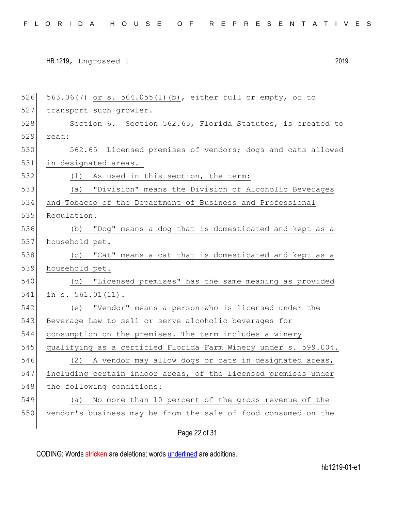526 563.06(7) or s. 564.055(1)(b), either full or empty, or to 527 transport such growler. 528 Section 6. Section 562.65, Florida Statutes, is created to 529 read: 530 562.65 Licensed premises of vendors; dogs and cats allowed 531 in designated areas.-532 (1) As used in this section, the term: 533 (a) "Division" means the Division of Alcoholic Beverages 534 and Tobacco of the Department of Business and Professional 535 Requlation. 536 (b) "Dog" means a dog that is domesticated and kept as a 537 household pet. 538 (c) "Cat" means a cat that is domesticated and kept as a 539 household pet. 540 (d) "Licensed premises" has the same meaning as provided 541 in s. 561.01(11). 542 (e) "Vendor" means a person who is licensed under the 543 Beverage Law to sell or serve alcoholic beverages for 544 consumption on the premises. The term includes a winery 545 qualifying as a certified Florida Farm Winery under s. 599.004. 546 (2) A vendor may allow dogs or cats in designated areas, 547 including certain indoor areas, of the licensed premises under 548 the following conditions: 549 (a) No more than 10 percent of the gross revenue of the 550 vendor's business may be from the sale of food consumed on the

Page 22 of 31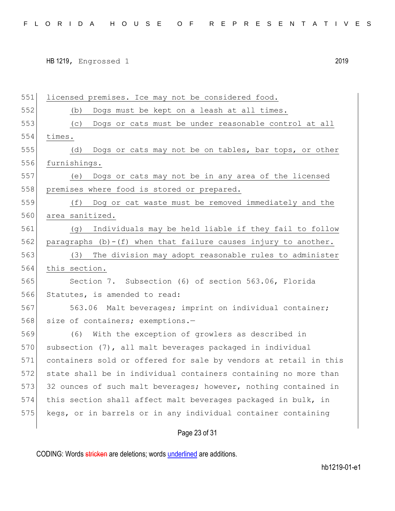551 licensed premises. Ice may not be considered food. 552 (b) Dogs must be kept on a leash at all times. 553 (c) Dogs or cats must be under reasonable control at all 554 times. 555 (d) Dogs or cats may not be on tables, bar tops, or other 556 furnishings. 557 (e) Dogs or cats may not be in any area of the licensed 558 premises where food is stored or prepared. 559 (f) Dog or cat waste must be removed immediately and the 560 area sanitized. 561 (g) Individuals may be held liable if they fail to follow 562 paragraphs  $(b)-(f)$  when that failure causes injury to another. 563 (3) The division may adopt reasonable rules to administer 564 this section. 565 Section 7. Subsection (6) of section 563.06, Florida 566 Statutes, is amended to read: 567 563.06 Malt beverages; imprint on individual container; 568 size of containers; exemptions.-569 (6) With the exception of growlers as described in 570 subsection (7), all malt beverages packaged in individual 571 containers sold or offered for sale by vendors at retail in this 572 state shall be in individual containers containing no more than 573 32 ounces of such malt beverages; however, nothing contained in 574 this section shall affect malt beverages packaged in bulk, in 575 kegs, or in barrels or in any individual container containing

#### Page 23 of 31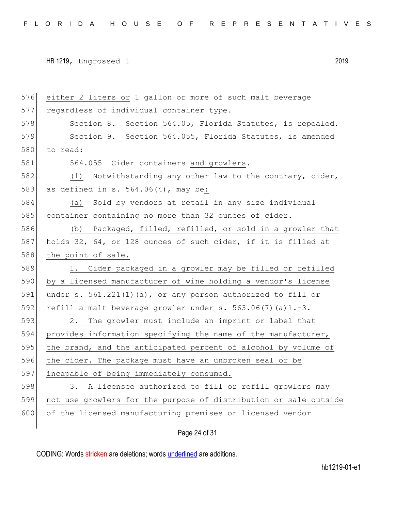```
HB 1219, Engrossed 1 2019
```
576 either 2 liters or 1 gallon or more of such malt beverage 577 regardless of individual container type. 578 Section 8. Section 564.05, Florida Statutes, is repealed. 579 Section 9. Section 564.055, Florida Statutes, is amended 580 to read: 581 564.055 Cider containers and growlers.-582 (1) Notwithstanding any other law to the contrary, cider, 583 as defined in s. 564.06(4), may be: 584 (a) Sold by vendors at retail in any size individual 585 container containing no more than 32 ounces of cider. 586 (b) Packaged, filled, refilled, or sold in a growler that 587 holds 32, 64, or 128 ounces of such cider, if it is filled at 588 the point of sale. 589 1. Cider packaged in a growler may be filled or refilled 590 by a licensed manufacturer of wine holding a vendor's license 591 under s. 561.221(1)(a), or any person authorized to fill or 592 refill a malt beverage growler under s. 563.06(7)(a) $1.-3.$ 593 2. The growler must include an imprint or label that 594 provides information specifying the name of the manufacturer, 595 the brand, and the anticipated percent of alcohol by volume of 596 the cider. The package must have an unbroken seal or be 597 incapable of being immediately consumed. 598 3. A licensee authorized to fill or refill growlers may 599 not use growlers for the purpose of distribution or sale outside 600 of the licensed manufacturing premises or licensed vendor

# Page 24 of 31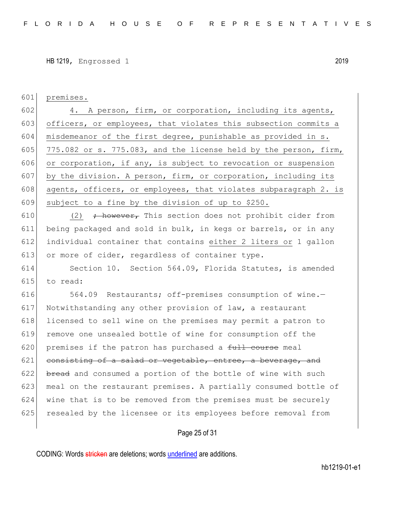601 premises.

602 4. A person, firm, or corporation, including its agents, 603 officers, or employees, that violates this subsection commits a 604 misdemeanor of the first degree, punishable as provided in s. 605 775.082 or s. 775.083, and the license held by the person, firm, 606 or corporation, if any, is subject to revocation or suspension 607 by the division. A person, firm, or corporation, including its 608 agents, officers, or employees, that violates subparagraph 2. is 609 subject to a fine by the division of up to \$250.

610 (2)  $\rightarrow$  however, This section does not prohibit cider from 611 being packaged and sold in bulk, in kegs or barrels, or in any 612 individual container that contains either 2 liters or 1 gallon 613 or more of cider, regardless of container type.

614 Section 10. Section 564.09, Florida Statutes, is amended  $615$  to read:

616 564.09 Restaurants; off-premises consumption of wine.-617 Notwithstanding any other provision of law, a restaurant 618 licensed to sell wine on the premises may permit a patron to 619 remove one unsealed bottle of wine for consumption off the 620 premises if the patron has purchased a  $f$ ull course meal  $621$  consisting of a salad or vegetable, entree, a beverage, and  $622$  bread and consumed a portion of the bottle of wine with such 623 meal on the restaurant premises. A partially consumed bottle of 624 wine that is to be removed from the premises must be securely 625 resealed by the licensee or its employees before removal from

#### Page 25 of 31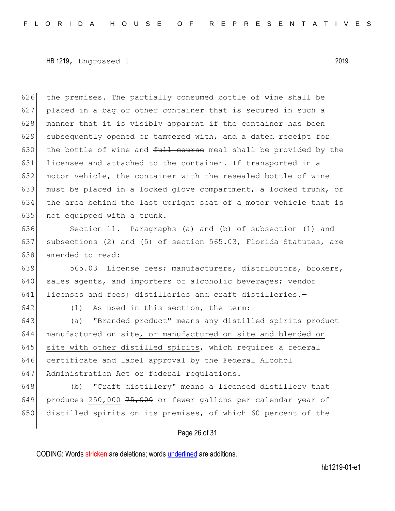626 the premises. The partially consumed bottle of wine shall be 627 placed in a bag or other container that is secured in such a 628 manner that it is visibly apparent if the container has been 629 subsequently opened or tampered with, and a dated receipt for 630 the bottle of wine and  $f_{\text{t}}$  course meal shall be provided by the 631 licensee and attached to the container. If transported in a 632 motor vehicle, the container with the resealed bottle of wine 633 must be placed in a locked glove compartment, a locked trunk, or 634 the area behind the last upright seat of a motor vehicle that is 635 not equipped with a trunk.

636 Section 11. Paragraphs (a) and (b) of subsection (1) and 637 subsections (2) and (5) of section 565.03, Florida Statutes, are 638 amended to read:

639 565.03 License fees; manufacturers, distributors, brokers, 640 sales agents, and importers of alcoholic beverages; vendor 641 licenses and fees; distilleries and craft distilleries.-

642 (1) As used in this section, the term:

643 (a) "Branded product" means any distilled spirits product 644 manufactured on site, or manufactured on site and blended on 645 site with other distilled spirits, which requires a federal 646 certificate and label approval by the Federal Alcohol 647 Administration Act or federal regulations.

648 (b) "Craft distillery" means a licensed distillery that 649 produces 250,000  $75,000$  or fewer gallons per calendar year of 650 distilled spirits on its premises, of which 60 percent of the

## Page 26 of 31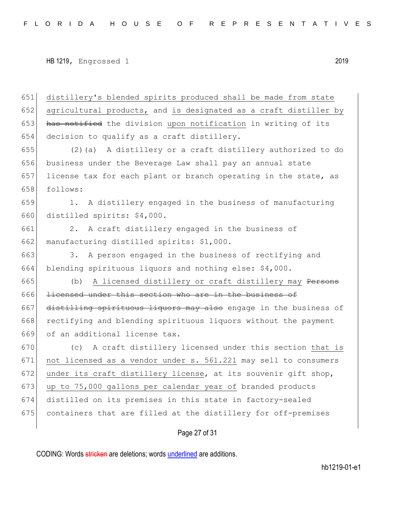651 distillery's blended spirits produced shall be made from state 652 agricultural products, and is designated as a craft distiller by 653 has notified the division upon notification in writing of its 654 decision to qualify as a craft distillery.

 (2)(a) A distillery or a craft distillery authorized to do business under the Beverage Law shall pay an annual state license tax for each plant or branch operating in the state, as 658 follows:

659 1. A distillery engaged in the business of manufacturing 660 distilled spirits: \$4,000.

661 2. A craft distillery engaged in the business of 662 manufacturing distilled spirits: \$1,000.

663 3. A person engaged in the business of rectifying and 664 blending spirituous liquors and nothing else: \$4,000.

665 (b) A licensed distillery or craft distillery may Persons 666 licensed under this section who are in the business of 667 distilling spirituous liquors may also engage in the business of 668 rectifying and blending spirituous liquors without the payment 669 of an additional license tax.

 (c) A craft distillery licensed under this section that is not licensed as a vendor under s. 561.221 may sell to consumers 672 under its craft distillery license, at its souvenir gift shop, 673 up to 75,000 gallons per calendar year of branded products distilled on its premises in this state in factory-sealed containers that are filled at the distillery for off-premises

#### Page 27 of 31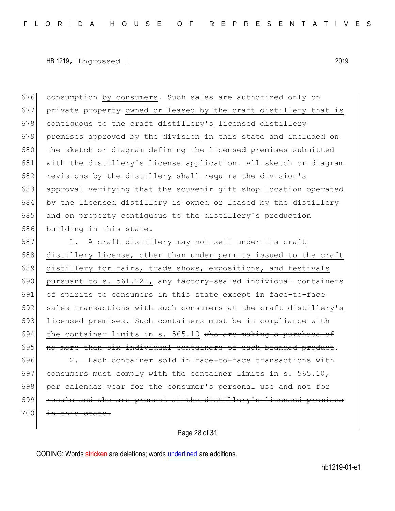676 consumption by consumers. Such sales are authorized only on 677 private property owned or leased by the craft distillery that is 678 contiguous to the craft distillery's licensed distillery 679 premises approved by the division in this state and included on 680 the sketch or diagram defining the licensed premises submitted 681 with the distillery's license application. All sketch or diagram 682 revisions by the distillery shall require the division's 683 approval verifying that the souvenir gift shop location operated 684 by the licensed distillery is owned or leased by the distillery 685 and on property contiguous to the distillery's production 686 building in this state.

687 1. A craft distillery may not sell under its craft 688 distillery license, other than under permits issued to the craft 689 distillery for fairs, trade shows, expositions, and festivals 690 pursuant to s. 561.221, any factory-sealed individual containers 691 of spirits to consumers in this state except in face-to-face 692 sales transactions with such consumers at the craft distillery's 693 licensed premises. Such containers must be in compliance with 694 the container limits in s. 565.10 who are making a purchase of  $695$  no more than six individual containers of each branded product.  $696$  2. Each container sold in face-to-face transactions with 697 consumers must comply with the container limits in s.  $565.10$ , 698 per calendar year for the consumer's personal use and not for 699 resale and who are present at the distillery's licensed premises 700 in this state.

Page 28 of 31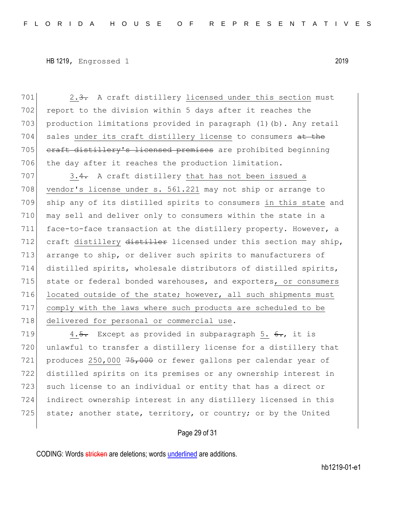701 2.3. A craft distillery licensed under this section must 702 report to the division within 5 days after it reaches the 703 production limitations provided in paragraph (1)(b). Any retail 704 sales under its craft distillery license to consumers at the 705 craft distillery's licensed premises are prohibited beginning 706 the day after it reaches the production limitation.

707 3.4. A craft distillery that has not been issued a 708 vendor's license under s. 561.221 may not ship or arrange to 709 ship any of its distilled spirits to consumers in this state and 710 may sell and deliver only to consumers within the state in a 711 face-to-face transaction at the distillery property. However, a 712 craft distillery distiller licensed under this section may ship, 713 arrange to ship, or deliver such spirits to manufacturers of 714 distilled spirits, wholesale distributors of distilled spirits, 715 state or federal bonded warehouses, and exporters, or consumers 716 located outside of the state; however, all such shipments must 717 comply with the laws where such products are scheduled to be 718 delivered for personal or commercial use.

719 4.5. Except as provided in subparagraph 5.  $6.$ , it is 720 unlawful to transfer a distillery license for a distillery that 721 produces 250,000  $75,000$  or fewer gallons per calendar year of 722 distilled spirits on its premises or any ownership interest in 723 such license to an individual or entity that has a direct or 724 indirect ownership interest in any distillery licensed in this 725 state; another state, territory, or country; or by the United

#### Page 29 of 31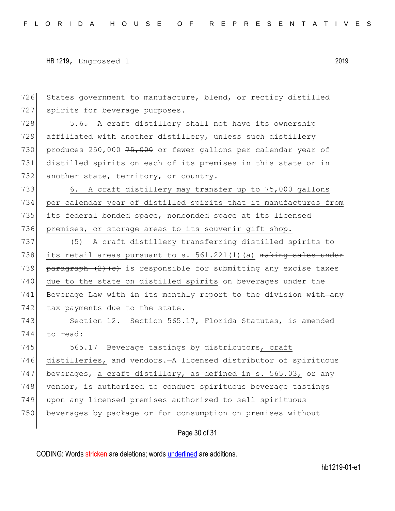726 States government to manufacture, blend, or rectify distilled 727 spirits for beverage purposes.

728 5.6. A craft distillery shall not have its ownership 729 affiliated with another distillery, unless such distillery 730 produces 250,000  $75,000$  or fewer gallons per calendar year of 731 distilled spirits on each of its premises in this state or in 732 another state, territory, or country.

733 6. A craft distillery may transfer up to 75,000 gallons 734 per calendar year of distilled spirits that it manufactures from 735 its federal bonded space, nonbonded space at its licensed 736 premises, or storage areas to its souvenir gift shop.

737 (5) A craft distillery transferring distilled spirits to 738 its retail areas pursuant to s.  $561.221(1)$  (a) making sales under 739 paragraph  $(2)$  (c) is responsible for submitting any excise taxes 740 due to the state on distilled spirits on beverages under the 741 Beverage Law with  $\frac{1}{2}$  its monthly report to the division with any 742 tax payments due to the state.

743 Section 12. Section 565.17, Florida Statutes, is amended 744 to read:

745 565.17 Beverage tastings by distributors, craft 746 distilleries, and vendors.—A licensed distributor of spirituous 747 beverages, a craft distillery, as defined in s. 565.03, or any 748 vendor<sub> $\tau$ </sub> is authorized to conduct spirituous beverage tastings 749 upon any licensed premises authorized to sell spirituous 750 beverages by package or for consumption on premises without

Page 30 of 31